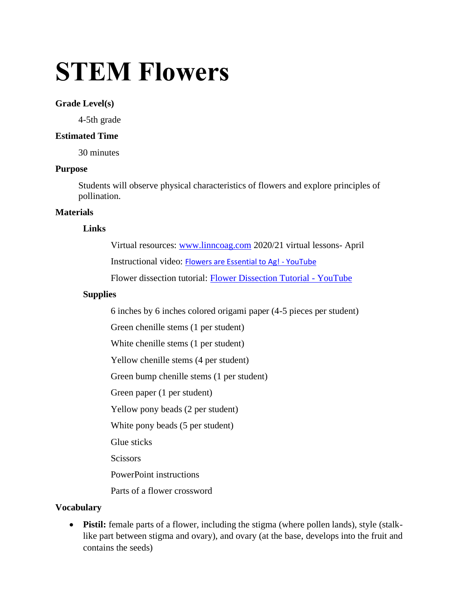# **STEM Flowers**

#### **Grade Level(s)**

4-5th grade

#### **Estimated Time**

30 minutes

#### **Purpose**

Students will observe physical characteristics of flowers and explore principles of pollination.

### **Materials**

#### **Links**

Virtual resources: [www.linncoag.com](http://www.linncoag.com/) 2020/21 virtual lessons- April

Instructional video: [Flowers are Essential to Ag! -](https://www.youtube.com/watch?v=gWeN97_13Zg) YouTube

Flower dissection tutorial: [Flower Dissection Tutorial -](https://www.youtube.com/watch?v=po0O9ycGNvc&feature=emb_logo) YouTube

#### **Supplies**

6 inches by 6 inches colored origami paper (4-5 pieces per student)

Green chenille stems (1 per student)

White chenille stems (1 per student)

Yellow chenille stems (4 per student)

Green bump chenille stems (1 per student)

Green paper (1 per student)

Yellow pony beads (2 per student)

White pony beads (5 per student)

Glue sticks

**Scissors** 

PowerPoint instructions

Parts of a flower crossword

## **Vocabulary**

• **Pistil:** female parts of a flower, including the stigma (where pollen lands), style (stalklike part between stigma and ovary), and ovary (at the base, develops into the fruit and contains the seeds)